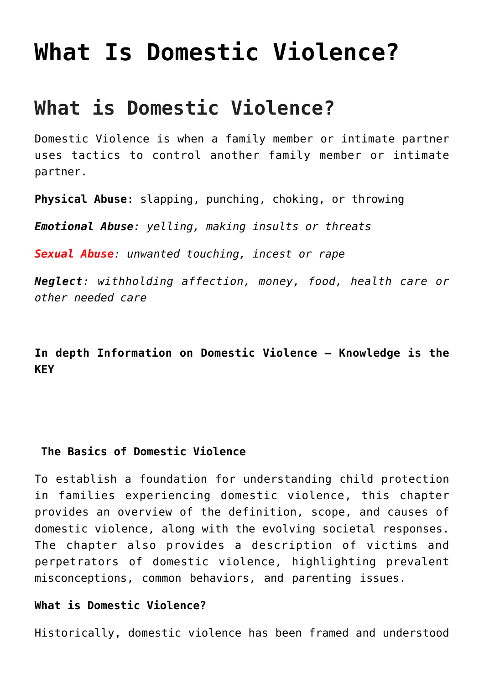# **[What Is Domestic Violence?](https://greenhaven4help.com/what-is-domestic-violence/)**

# **What is Domestic Violence?**

Domestic Violence is when a family member or intimate partner uses tactics to control another family member or intimate partner.

**Physical Abuse**: slapping, punching, choking, or throwing

*Emotional Abuse: yelling, making insults or threats*

*Sexual Abuse: unwanted touching, incest or rape*

*Neglect: withholding affection, money, food, health care or other needed care*

**In depth Information on Domestic Violence – Knowledge is the KEY**

#### **The Basics of Domestic Violence**

To establish a foundation for understanding child protection in families experiencing domestic violence, this chapter provides an overview of the definition, scope, and causes of domestic violence, along with the evolving societal responses. The chapter also provides a description of victims and perpetrators of domestic violence, highlighting prevalent misconceptions, common behaviors, and parenting issues.

#### **What is Domestic Violence?**

Historically, domestic violence has been framed and understood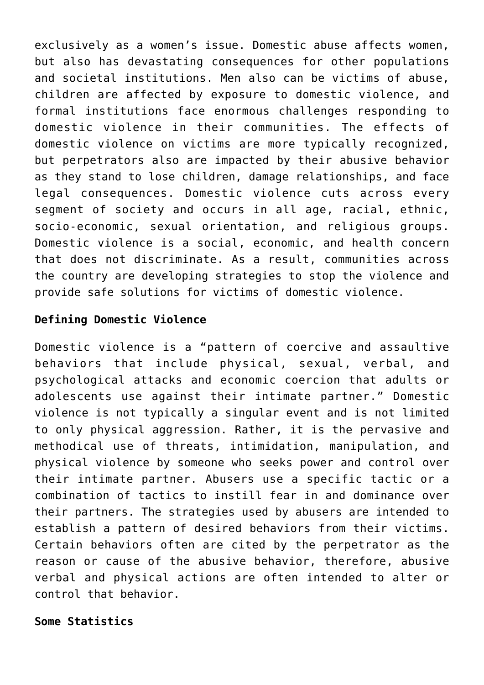exclusively as a women's issue. Domestic abuse affects women, but also has devastating consequences for other populations and societal institutions. Men also can be victims of abuse, children are affected by exposure to domestic violence, and formal institutions face enormous challenges responding to domestic violence in their communities. The effects of domestic violence on victims are more typically recognized, but perpetrators also are impacted by their abusive behavior as they stand to lose children, damage relationships, and face legal consequences. Domestic violence cuts across every segment of society and occurs in all age, racial, ethnic, socio-economic, sexual orientation, and religious groups. Domestic violence is a social, economic, and health concern that does not discriminate. As a result, communities across the country are developing strategies to stop the violence and provide safe solutions for victims of domestic violence.

# **Defining Domestic Violence**

Domestic violence is a "pattern of coercive and assaultive behaviors that include physical, sexual, verbal, and psychological attacks and economic coercion that adults or adolescents use against their intimate partner." Domestic violence is not typically a singular event and is not limited to only physical aggression. Rather, it is the pervasive and methodical use of threats, intimidation, manipulation, and physical violence by someone who seeks power and control over their intimate partner. Abusers use a specific tactic or a combination of tactics to instill fear in and dominance over their partners. The strategies used by abusers are intended to establish a pattern of desired behaviors from their victims. Certain behaviors often are cited by the perpetrator as the reason or cause of the abusive behavior, therefore, abusive verbal and physical actions are often intended to alter or control that behavior.

#### **Some Statistics**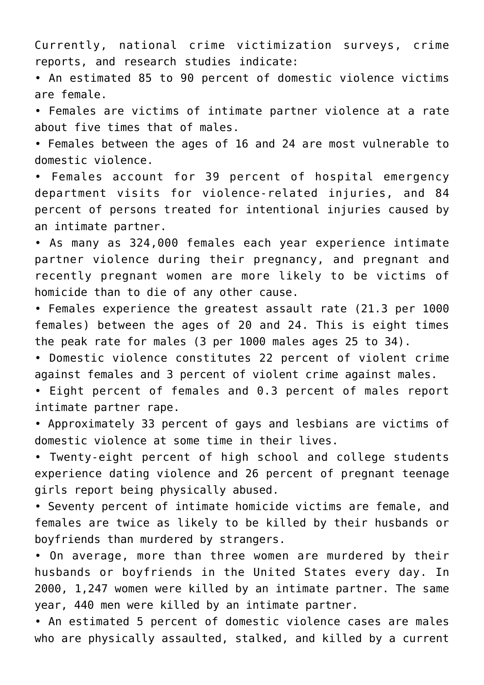Currently, national crime victimization surveys, crime reports, and research studies indicate:

• An estimated 85 to 90 percent of domestic violence victims are female.

• Females are victims of intimate partner violence at a rate about five times that of males.

• Females between the ages of 16 and 24 are most vulnerable to domestic violence.

• Females account for 39 percent of hospital emergency department visits for violence-related injuries, and 84 percent of persons treated for intentional injuries caused by an intimate partner.

• As many as 324,000 females each year experience intimate partner violence during their pregnancy, and pregnant and recently pregnant women are more likely to be victims of homicide than to die of any other cause.

• Females experience the greatest assault rate (21.3 per 1000 females) between the ages of 20 and 24. This is eight times the peak rate for males (3 per 1000 males ages 25 to 34).

• Domestic violence constitutes 22 percent of violent crime against females and 3 percent of violent crime against males.

• Eight percent of females and 0.3 percent of males report intimate partner rape.

• Approximately 33 percent of gays and lesbians are victims of domestic violence at some time in their lives.

• Twenty-eight percent of high school and college students experience dating violence and 26 percent of pregnant teenage girls report being physically abused.

• Seventy percent of intimate homicide victims are female, and females are twice as likely to be killed by their husbands or boyfriends than murdered by strangers.

• On average, more than three women are murdered by their husbands or boyfriends in the United States every day. In 2000, 1,247 women were killed by an intimate partner. The same year, 440 men were killed by an intimate partner.

• An estimated 5 percent of domestic violence cases are males who are physically assaulted, stalked, and killed by a current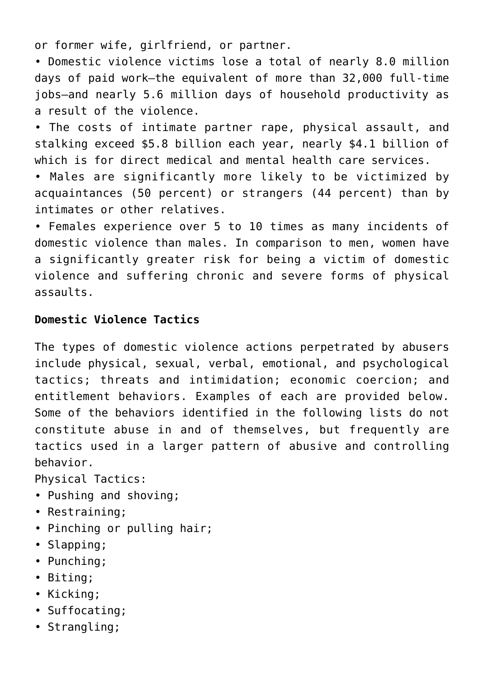or former wife, girlfriend, or partner.

• Domestic violence victims lose a total of nearly 8.0 million days of paid work—the equivalent of more than 32,000 full-time jobs—and nearly 5.6 million days of household productivity as a result of the violence.

• The costs of intimate partner rape, physical assault, and stalking exceed \$5.8 billion each year, nearly \$4.1 billion of which is for direct medical and mental health care services.

• Males are significantly more likely to be victimized by acquaintances (50 percent) or strangers (44 percent) than by intimates or other relatives.

• Females experience over 5 to 10 times as many incidents of domestic violence than males. In comparison to men, women have a significantly greater risk for being a victim of domestic violence and suffering chronic and severe forms of physical assaults.

# **Domestic Violence Tactics**

The types of domestic violence actions perpetrated by abusers include physical, sexual, verbal, emotional, and psychological tactics; threats and intimidation; economic coercion; and entitlement behaviors. Examples of each are provided below. Some of the behaviors identified in the following lists do not constitute abuse in and of themselves, but frequently are tactics used in a larger pattern of abusive and controlling behavior.

Physical Tactics:

- Pushing and shoving;
- Restraining;
- Pinching or pulling hair;
- Slapping;
- Punching;
- Biting;
- Kicking;
- Suffocating;
- Strangling;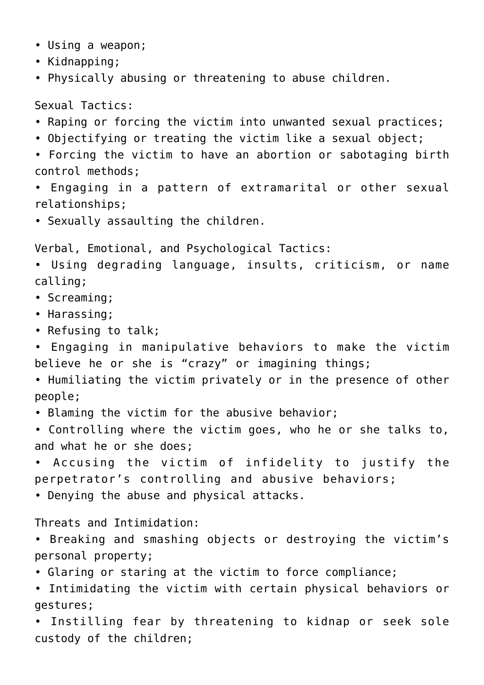- Using a weapon;
- Kidnapping;

• Physically abusing or threatening to abuse children.

Sexual Tactics:

- Raping or forcing the victim into unwanted sexual practices;
- Objectifying or treating the victim like a sexual object;

• Forcing the victim to have an abortion or sabotaging birth control methods;

• Engaging in a pattern of extramarital or other sexual relationships;

• Sexually assaulting the children.

Verbal, Emotional, and Psychological Tactics:

• Using degrading language, insults, criticism, or name calling;

- Screaming;
- Harassing;
- Refusing to talk;

• Engaging in manipulative behaviors to make the victim believe he or she is "crazy" or imagining things;

• Humiliating the victim privately or in the presence of other people;

• Blaming the victim for the abusive behavior;

• Controlling where the victim goes, who he or she talks to, and what he or she does;

• Accusing the victim of infidelity to justify the perpetrator's controlling and abusive behaviors;

• Denying the abuse and physical attacks.

Threats and Intimidation:

• Breaking and smashing objects or destroying the victim's personal property;

• Glaring or staring at the victim to force compliance;

• Intimidating the victim with certain physical behaviors or gestures;

• Instilling fear by threatening to kidnap or seek sole custody of the children;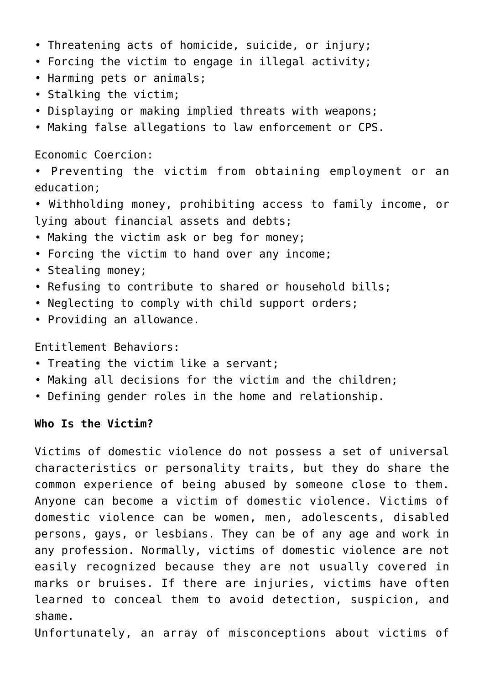- Threatening acts of homicide, suicide, or injury;
- Forcing the victim to engage in illegal activity;
- Harming pets or animals;
- Stalking the victim;
- Displaying or making implied threats with weapons;
- Making false allegations to law enforcement or CPS.

# Economic Coercion:

• Preventing the victim from obtaining employment or an education;

• Withholding money, prohibiting access to family income, or lying about financial assets and debts;

- Making the victim ask or beg for money;
- Forcing the victim to hand over any income;
- Stealing money;
- Refusing to contribute to shared or household bills;
- Neglecting to comply with child support orders;
- Providing an allowance.

Entitlement Behaviors:

- Treating the victim like a servant;
- Making all decisions for the victim and the children;
- Defining gender roles in the home and relationship.

#### **Who Is the Victim?**

Victims of domestic violence do not possess a set of universal characteristics or personality traits, but they do share the common experience of being abused by someone close to them. Anyone can become a victim of domestic violence. Victims of domestic violence can be women, men, adolescents, disabled persons, gays, or lesbians. They can be of any age and work in any profession. Normally, victims of domestic violence are not easily recognized because they are not usually covered in marks or bruises. If there are injuries, victims have often learned to conceal them to avoid detection, suspicion, and shame.

Unfortunately, an array of misconceptions about victims of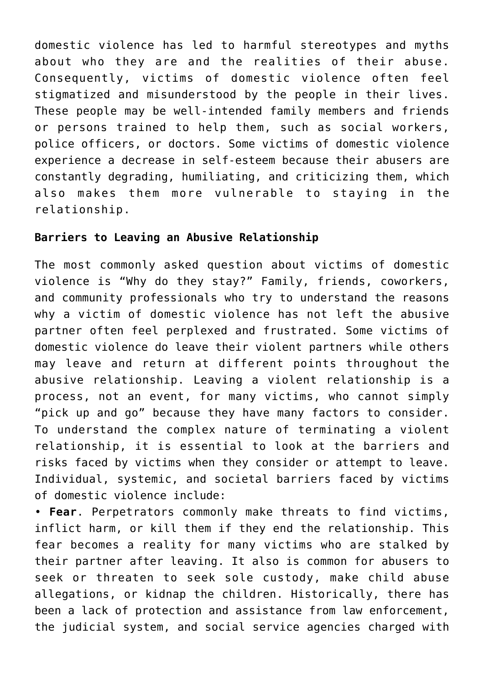domestic violence has led to harmful stereotypes and myths about who they are and the realities of their abuse. Consequently, victims of domestic violence often feel stigmatized and misunderstood by the people in their lives. These people may be well-intended family members and friends or persons trained to help them, such as social workers, police officers, or doctors. Some victims of domestic violence experience a decrease in self-esteem because their abusers are constantly degrading, humiliating, and criticizing them, which also makes them more vulnerable to staying in the relationship.

#### **Barriers to Leaving an Abusive Relationship**

The most commonly asked question about victims of domestic violence is "Why do they stay?" Family, friends, coworkers, and community professionals who try to understand the reasons why a victim of domestic violence has not left the abusive partner often feel perplexed and frustrated. Some victims of domestic violence do leave their violent partners while others may leave and return at different points throughout the abusive relationship. Leaving a violent relationship is a process, not an event, for many victims, who cannot simply "pick up and go" because they have many factors to consider. To understand the complex nature of terminating a violent relationship, it is essential to look at the barriers and risks faced by victims when they consider or attempt to leave. Individual, systemic, and societal barriers faced by victims of domestic violence include:

• **Fear**. Perpetrators commonly make threats to find victims, inflict harm, or kill them if they end the relationship. This fear becomes a reality for many victims who are stalked by their partner after leaving. It also is common for abusers to seek or threaten to seek sole custody, make child abuse allegations, or kidnap the children. Historically, there has been a lack of protection and assistance from law enforcement, the judicial system, and social service agencies charged with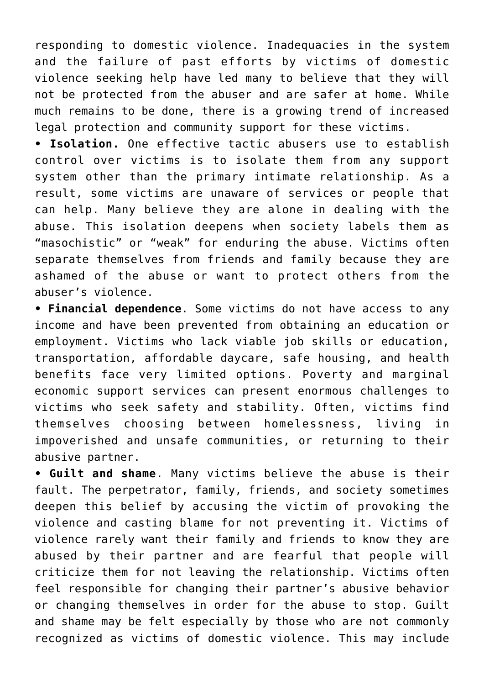responding to domestic violence. Inadequacies in the system and the failure of past efforts by victims of domestic violence seeking help have led many to believe that they will not be protected from the abuser and are safer at home. While much remains to be done, there is a growing trend of increased legal protection and community support for these victims.

**• Isolation.** One effective tactic abusers use to establish control over victims is to isolate them from any support system other than the primary intimate relationship. As a result, some victims are unaware of services or people that can help. Many believe they are alone in dealing with the abuse. This isolation deepens when society labels them as "masochistic" or "weak" for enduring the abuse. Victims often separate themselves from friends and family because they are ashamed of the abuse or want to protect others from the abuser's violence.

**• Financial dependence**. Some victims do not have access to any income and have been prevented from obtaining an education or employment. Victims who lack viable job skills or education, transportation, affordable daycare, safe housing, and health benefits face very limited options. Poverty and marginal economic support services can present enormous challenges to victims who seek safety and stability. Often, victims find themselves choosing between homelessness, living in impoverished and unsafe communities, or returning to their abusive partner.

**• Guilt and shame**. Many victims believe the abuse is their fault. The perpetrator, family, friends, and society sometimes deepen this belief by accusing the victim of provoking the violence and casting blame for not preventing it. Victims of violence rarely want their family and friends to know they are abused by their partner and are fearful that people will criticize them for not leaving the relationship. Victims often feel responsible for changing their partner's abusive behavior or changing themselves in order for the abuse to stop. Guilt and shame may be felt especially by those who are not commonly recognized as victims of domestic violence. This may include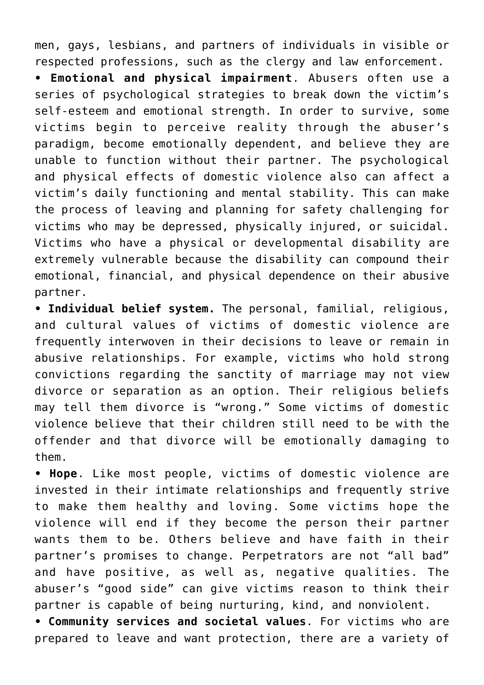men, gays, lesbians, and partners of individuals in visible or respected professions, such as the clergy and law enforcement.

**• Emotional and physical impairment**. Abusers often use a series of psychological strategies to break down the victim's self-esteem and emotional strength. In order to survive, some victims begin to perceive reality through the abuser's paradigm, become emotionally dependent, and believe they are unable to function without their partner. The psychological and physical effects of domestic violence also can affect a victim's daily functioning and mental stability. This can make the process of leaving and planning for safety challenging for victims who may be depressed, physically injured, or suicidal. Victims who have a physical or developmental disability are extremely vulnerable because the disability can compound their emotional, financial, and physical dependence on their abusive partner.

**• Individual belief system.** The personal, familial, religious, and cultural values of victims of domestic violence are frequently interwoven in their decisions to leave or remain in abusive relationships. For example, victims who hold strong convictions regarding the sanctity of marriage may not view divorce or separation as an option. Their religious beliefs may tell them divorce is "wrong." Some victims of domestic violence believe that their children still need to be with the offender and that divorce will be emotionally damaging to them.

**• Hope**. Like most people, victims of domestic violence are invested in their intimate relationships and frequently strive to make them healthy and loving. Some victims hope the violence will end if they become the person their partner wants them to be. Others believe and have faith in their partner's promises to change. Perpetrators are not "all bad" and have positive, as well as, negative qualities. The abuser's "good side" can give victims reason to think their partner is capable of being nurturing, kind, and nonviolent.

**• Community services and societal values**. For victims who are prepared to leave and want protection, there are a variety of